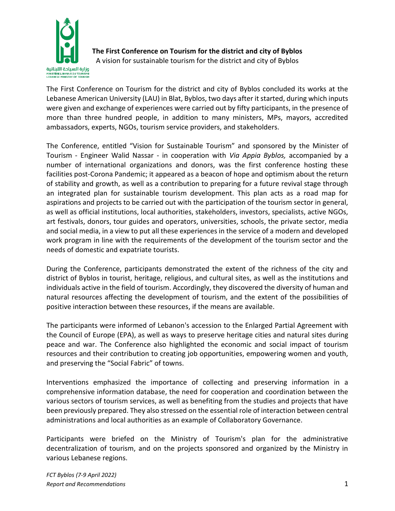

**The First Conference on Tourism for the district and city of Byblos**

A vision for sustainable tourism for the district and city of Byblos

The First Conference on Tourism for the district and city of Byblos concluded its works at the Lebanese American University (LAU) in Blat, Byblos, two days after it started, during which inputs were given and exchange of experiences were carried out by fifty participants, in the presence of more than three hundred people, in addition to many ministers, MPs, mayors, accredited ambassadors, experts, NGOs, tourism service providers, and stakeholders.

The Conference, entitled "Vision for Sustainable Tourism" and sponsored by the Minister of Tourism - Engineer Walid Nassar - in cooperation with *Via Appia Byblos,* accompanied by a number of international organizations and donors, was the first conference hosting these facilities post-Corona Pandemic; it appeared as a beacon of hope and optimism about the return of stability and growth, as well as a contribution to preparing for a future revival stage through an integrated plan for sustainable tourism development. This plan acts as a road map for aspirations and projects to be carried out with the participation of the tourism sector in general, as well as official institutions, local authorities, stakeholders, investors, specialists, active NGOs, art festivals, donors, tour guides and operators, universities, schools, the private sector, media and social media, in a view to put all these experiences in the service of a modern and developed work program in line with the requirements of the development of the tourism sector and the needs of domestic and expatriate tourists.

During the Conference, participants demonstrated the extent of the richness of the city and district of Byblos in tourist, heritage, religious, and cultural sites, as well as the institutions and individuals active in the field of tourism. Accordingly, they discovered the diversity of human and natural resources affecting the development of tourism, and the extent of the possibilities of positive interaction between these resources, if the means are available.

The participants were informed of Lebanon's accession to the Enlarged Partial Agreement with the Council of Europe (EPA), as well as ways to preserve heritage cities and natural sites during peace and war. The Conference also highlighted the economic and social impact of tourism resources and their contribution to creating job opportunities, empowering women and youth, and preserving the "Social Fabric" of towns.

Interventions emphasized the importance of collecting and preserving information in a comprehensive information database, the need for cooperation and coordination between the various sectors of tourism services, as well as benefiting from the studies and projects that have been previously prepared. They also stressed on the essential role of interaction between central administrations and local authorities as an example of Collaboratory Governance.

Participants were briefed on the Ministry of Tourism's plan for the administrative decentralization of tourism, and on the projects sponsored and organized by the Ministry in various Lebanese regions.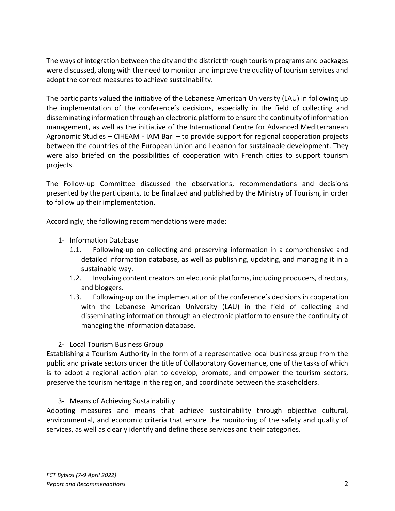The ways of integration between the city and the district through tourism programs and packages were discussed, along with the need to monitor and improve the quality of tourism services and adopt the correct measures to achieve sustainability.

The participants valued the initiative of the Lebanese American University (LAU) in following up the implementation of the conference's decisions, especially in the field of collecting and disseminating information through an electronic platform to ensure the continuity of information management, as well as the initiative of the International Centre for Advanced Mediterranean Agronomic Studies – CIHEAM - IAM Bari – to provide support for regional cooperation projects between the countries of the European Union and Lebanon for sustainable development. They were also briefed on the possibilities of cooperation with French cities to support tourism projects.

The Follow-up Committee discussed the observations, recommendations and decisions presented by the participants, to be finalized and published by the Ministry of Tourism, in order to follow up their implementation.

Accordingly, the following recommendations were made:

- 1- Information Database
	- 1.1. Following-up on collecting and preserving information in a comprehensive and detailed information database, as well as publishing, updating, and managing it in a sustainable way.
	- 1.2. Involving content creators on electronic platforms, including producers, directors, and bloggers.
	- 1.3. Following-up on the implementation of the conference's decisions in cooperation with the Lebanese American University (LAU) in the field of collecting and disseminating information through an electronic platform to ensure the continuity of managing the information database.

### 2- Local Tourism Business Group

Establishing a Tourism Authority in the form of a representative local business group from the public and private sectors under the title of Collaboratory Governance, one of the tasks of which is to adopt a regional action plan to develop, promote, and empower the tourism sectors, preserve the tourism heritage in the region, and coordinate between the stakeholders.

### 3- Means of Achieving Sustainability

Adopting measures and means that achieve sustainability through objective cultural, environmental, and economic criteria that ensure the monitoring of the safety and quality of services, as well as clearly identify and define these services and their categories.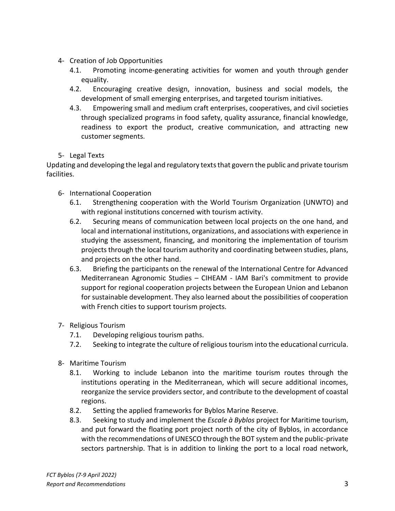- 4- Creation of Job Opportunities
	- 4.1. Promoting income-generating activities for women and youth through gender equality.
	- 4.2. Encouraging creative design, innovation, business and social models, the development of small emerging enterprises, and targeted tourism initiatives.
	- 4.3. Empowering small and medium craft enterprises, cooperatives, and civil societies through specialized programs in food safety, quality assurance, financial knowledge, readiness to export the product, creative communication, and attracting new customer segments.

## 5- Legal Texts

Updating and developing the legal and regulatory texts that govern the public and private tourism facilities.

- 6- International Cooperation
	- 6.1. Strengthening cooperation with the World Tourism Organization (UNWTO) and with regional institutions concerned with tourism activity.
	- 6.2. Securing means of communication between local projects on the one hand, and local and international institutions, organizations, and associations with experience in studying the assessment, financing, and monitoring the implementation of tourism projects through the local tourism authority and coordinating between studies, plans, and projects on the other hand.
	- 6.3. Briefing the participants on the renewal of the International Centre for Advanced Mediterranean Agronomic Studies – CIHEAM - IAM Bari's commitment to provide support for regional cooperation projects between the European Union and Lebanon for sustainable development. They also learned about the possibilities of cooperation with French cities to support tourism projects.
- 7- Religious Tourism
	- 7.1. Developing religious tourism paths.
	- 7.2. Seeking to integrate the culture of religious tourism into the educational curricula.
- 8- Maritime Tourism
	- 8.1. Working to include Lebanon into the maritime tourism routes through the institutions operating in the Mediterranean, which will secure additional incomes, reorganize the service providers sector, and contribute to the development of coastal regions.
	- 8.2. Setting the applied frameworks for Byblos Marine Reserve.
	- 8.3. Seeking to study and implement the *Escale à Byblos* project for Maritime tourism, and put forward the floating port project north of the city of Byblos, in accordance with the recommendations of UNESCO through the BOT system and the public-private sectors partnership. That is in addition to linking the port to a local road network,